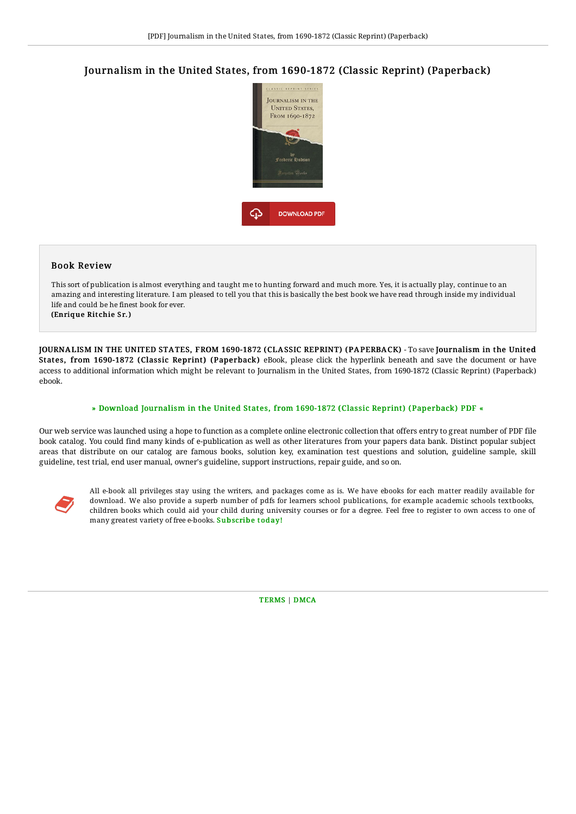## Journalism in the United States, from 1690-1872 (Classic Reprint) (Paperback)



## Book Review

This sort of publication is almost everything and taught me to hunting forward and much more. Yes, it is actually play, continue to an amazing and interesting literature. I am pleased to tell you that this is basically the best book we have read through inside my individual life and could be he finest book for ever. (Enrique Rit chie Sr.)

JOURNALISM IN THE UNITED STATES, FROM 1690-1872 (CLASSIC REPRINT) (PAPERBACK) - To save Journalism in the United States, from 1690-1872 (Classic Reprint) (Paperback) eBook, please click the hyperlink beneath and save the document or have access to additional information which might be relevant to Journalism in the United States, from 1690-1872 (Classic Reprint) (Paperback) ebook.

## » Download Journalism in the United States, from 1690-1872 (Classic Reprint) [\(Paperback\)](http://techno-pub.tech/journalism-in-the-united-states-from-1690-1872-c.html) PDF «

Our web service was launched using a hope to function as a complete online electronic collection that offers entry to great number of PDF file book catalog. You could find many kinds of e-publication as well as other literatures from your papers data bank. Distinct popular subject areas that distribute on our catalog are famous books, solution key, examination test questions and solution, guideline sample, skill guideline, test trial, end user manual, owner's guideline, support instructions, repair guide, and so on.



All e-book all privileges stay using the writers, and packages come as is. We have ebooks for each matter readily available for download. We also provide a superb number of pdfs for learners school publications, for example academic schools textbooks, children books which could aid your child during university courses or for a degree. Feel free to register to own access to one of many greatest variety of free e-books. [Subscribe](http://techno-pub.tech/journalism-in-the-united-states-from-1690-1872-c.html) today!